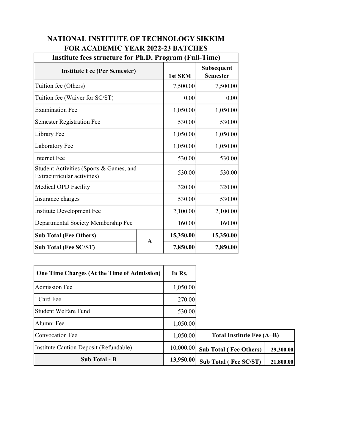| Institute fees structure for Ph.D. Program (Full-Time)                 |             |           |                               |  |
|------------------------------------------------------------------------|-------------|-----------|-------------------------------|--|
| <b>Institute Fee (Per Semester)</b>                                    |             | 1st SEM   | Subsequent<br><b>Semester</b> |  |
| Tuition fee (Others)                                                   |             | 7,500.00  | 7,500.00                      |  |
| Tuition fee (Waiver for SC/ST)                                         |             | 0.00      | 0.00                          |  |
| <b>Examination Fee</b>                                                 |             | 1,050.00  | 1,050.00                      |  |
| <b>Semester Registration Fee</b>                                       |             | 530.00    | 530.00                        |  |
| Library Fee                                                            | 1,050.00    | 1,050.00  |                               |  |
| Laboratory Fee                                                         |             | 1,050.00  | 1,050.00                      |  |
| <b>Internet Fee</b>                                                    |             | 530.00    | 530.00                        |  |
| Student Activities (Sports & Games, and<br>Extracurricular activities) |             | 530.00    | 530.00                        |  |
| Medical OPD Facility                                                   |             | 320.00    | 320.00                        |  |
| Insurance charges                                                      |             | 530.00    | 530.00                        |  |
| Institute Development Fee                                              |             | 2,100.00  | 2,100.00                      |  |
| Departmental Society Membership Fee                                    |             | 160.00    | 160.00                        |  |
| <b>Sub Total (Fee Others)</b>                                          | $\mathbf A$ | 15,350.00 | 15,350.00                     |  |
| <b>Sub Total (Fee SC/ST)</b>                                           |             | 7,850.00  | 7,850.00                      |  |

## NATIONAL INSTITUTE OF TECHNOLOGY SIKKIM FOR ACADEMIC YEAR 2022-23 BATCHES

| <b>One Time Charges (At the Time of Admission)</b> | In Rs.    |                               |           |
|----------------------------------------------------|-----------|-------------------------------|-----------|
| Admission Fee                                      | 1,050.00  |                               |           |
| I Card Fee                                         | 270.00    |                               |           |
| Student Welfare Fund                               | 530.00    |                               |           |
| Alumni Fee                                         | 1,050.00  |                               |           |
| Convocation Fee                                    | 1,050.00  | Total Institute Fee (A+B)     |           |
| Institute Caution Deposit (Refundable)             | 10,000.00 | <b>Sub Total (Fee Others)</b> | 29,300.00 |
| Sub Total - B                                      | 13,950.00 | <b>Sub Total (Fee SC/ST)</b>  | 21,800.00 |